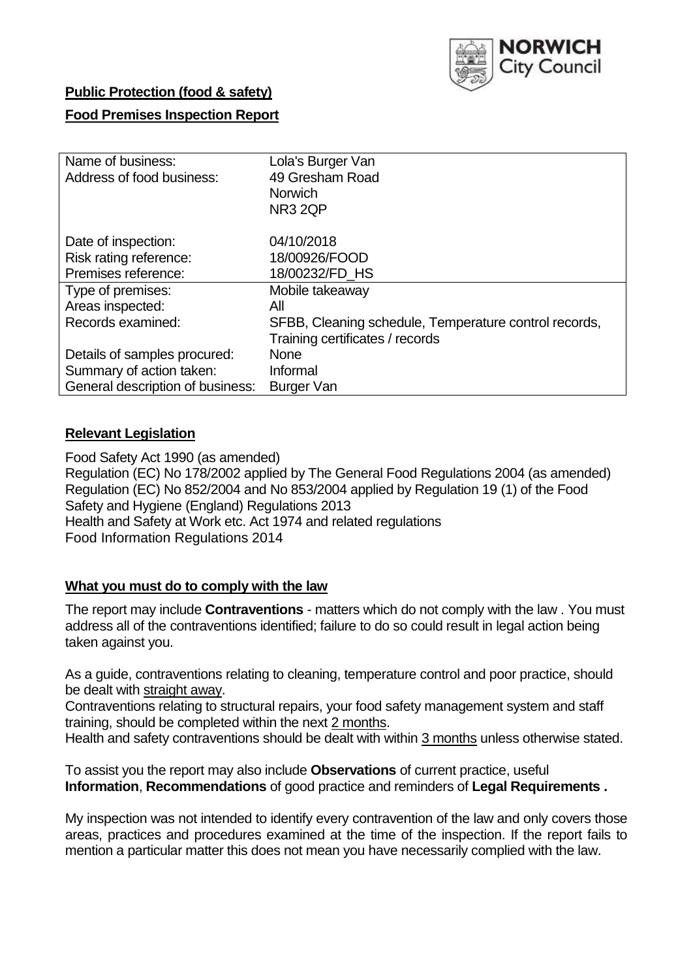

## **Public Protection (food & safety)**

## **Food Premises Inspection Report**

| Name of business:                | Lola's Burger Van                                     |
|----------------------------------|-------------------------------------------------------|
| Address of food business:        | 49 Gresham Road                                       |
|                                  | <b>Norwich</b>                                        |
|                                  | NR <sub>3</sub> 2QP                                   |
| Date of inspection:              | 04/10/2018                                            |
| Risk rating reference:           | 18/00926/FOOD                                         |
| Premises reference:              | 18/00232/FD_HS                                        |
| Type of premises:                | Mobile takeaway                                       |
| Areas inspected:                 | All                                                   |
| Records examined:                | SFBB, Cleaning schedule, Temperature control records, |
|                                  | Training certificates / records                       |
| Details of samples procured:     | <b>None</b>                                           |
| Summary of action taken:         | Informal                                              |
| General description of business: | Burger Van                                            |

# **Relevant Legislation**

Food Safety Act 1990 (as amended) Regulation (EC) No 178/2002 applied by The General Food Regulations 2004 (as amended) Regulation (EC) No 852/2004 and No 853/2004 applied by Regulation 19 (1) of the Food Safety and Hygiene (England) Regulations 2013 Health and Safety at Work etc. Act 1974 and related regulations Food Information Regulations 2014

## **What you must do to comply with the law**

The report may include **Contraventions** - matters which do not comply with the law . You must address all of the contraventions identified; failure to do so could result in legal action being taken against you.

As a guide, contraventions relating to cleaning, temperature control and poor practice, should be dealt with straight away.

Contraventions relating to structural repairs, your food safety management system and staff training, should be completed within the next 2 months.

Health and safety contraventions should be dealt with within 3 months unless otherwise stated.

To assist you the report may also include **Observations** of current practice, useful **Information**, **Recommendations** of good practice and reminders of **Legal Requirements .**

My inspection was not intended to identify every contravention of the law and only covers those areas, practices and procedures examined at the time of the inspection. If the report fails to mention a particular matter this does not mean you have necessarily complied with the law.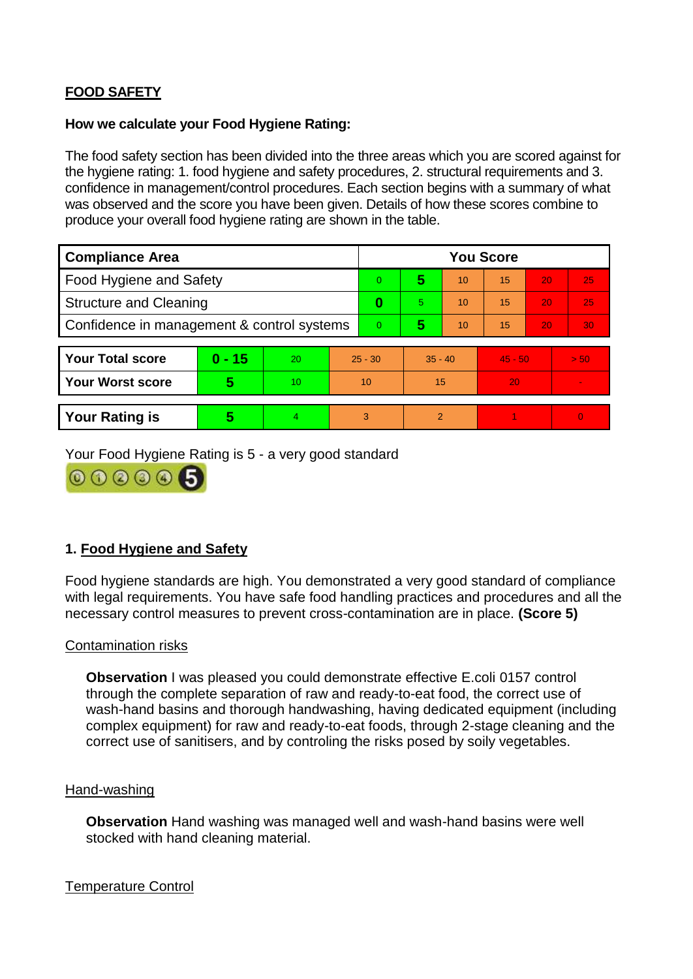# **FOOD SAFETY**

### **How we calculate your Food Hygiene Rating:**

The food safety section has been divided into the three areas which you are scored against for the hygiene rating: 1. food hygiene and safety procedures, 2. structural requirements and 3. confidence in management/control procedures. Each section begins with a summary of what was observed and the score you have been given. Details of how these scores combine to produce your overall food hygiene rating are shown in the table.

| <b>Compliance Area</b>                     |          |    |           | <b>You Score</b> |                |    |           |    |                |  |  |
|--------------------------------------------|----------|----|-----------|------------------|----------------|----|-----------|----|----------------|--|--|
| Food Hygiene and Safety                    |          |    |           | $\Omega$         | 5              | 10 | 15        | 20 | 25             |  |  |
| <b>Structure and Cleaning</b>              |          |    | 0         | 5.               | 10             | 15 | 20        | 25 |                |  |  |
| Confidence in management & control systems |          |    | $\Omega$  | 5                | 10             | 15 | 20        | 30 |                |  |  |
|                                            |          |    |           |                  |                |    |           |    |                |  |  |
| <b>Your Total score</b>                    | $0 - 15$ | 20 | $25 - 30$ |                  | $35 - 40$      |    | $45 - 50$ |    | > 50           |  |  |
| <b>Your Worst score</b>                    | 5        | 10 | 10        |                  | 15             |    | 20        |    | $\blacksquare$ |  |  |
|                                            |          |    |           |                  |                |    |           |    |                |  |  |
| <b>Your Rating is</b>                      | 5        | 4  | 3         |                  | $\overline{2}$ |    |           |    | $\Omega$       |  |  |

Your Food Hygiene Rating is 5 - a very good standard



# **1. Food Hygiene and Safety**

Food hygiene standards are high. You demonstrated a very good standard of compliance with legal requirements. You have safe food handling practices and procedures and all the necessary control measures to prevent cross-contamination are in place. **(Score 5)**

## Contamination risks

**Observation** I was pleased you could demonstrate effective E.coli 0157 control through the complete separation of raw and ready-to-eat food, the correct use of wash-hand basins and thorough handwashing, having dedicated equipment (including complex equipment) for raw and ready-to-eat foods, through 2-stage cleaning and the correct use of sanitisers, and by controling the risks posed by soily vegetables.

#### Hand-washing

**Observation** Hand washing was managed well and wash-hand basins were well stocked with hand cleaning material.

## Temperature Control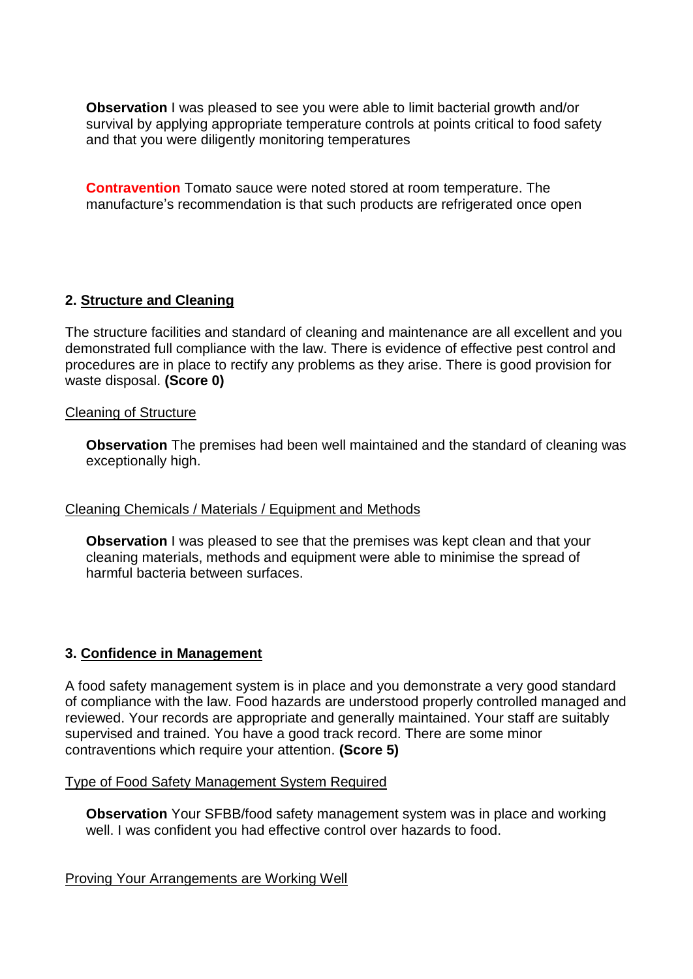**Observation** I was pleased to see you were able to limit bacterial growth and/or survival by applying appropriate temperature controls at points critical to food safety and that you were diligently monitoring temperatures

**Contravention** Tomato sauce were noted stored at room temperature. The manufacture's recommendation is that such products are refrigerated once open

## **2. Structure and Cleaning**

The structure facilities and standard of cleaning and maintenance are all excellent and you demonstrated full compliance with the law. There is evidence of effective pest control and procedures are in place to rectify any problems as they arise. There is good provision for waste disposal. **(Score 0)**

### Cleaning of Structure

**Observation** The premises had been well maintained and the standard of cleaning was exceptionally high.

## Cleaning Chemicals / Materials / Equipment and Methods

**Observation** I was pleased to see that the premises was kept clean and that your cleaning materials, methods and equipment were able to minimise the spread of harmful bacteria between surfaces.

## **3. Confidence in Management**

A food safety management system is in place and you demonstrate a very good standard of compliance with the law. Food hazards are understood properly controlled managed and reviewed. Your records are appropriate and generally maintained. Your staff are suitably supervised and trained. You have a good track record. There are some minor contraventions which require your attention. **(Score 5)**

#### Type of Food Safety Management System Required

**Observation** Your SFBB/food safety management system was in place and working well. I was confident you had effective control over hazards to food.

Proving Your Arrangements are Working Well